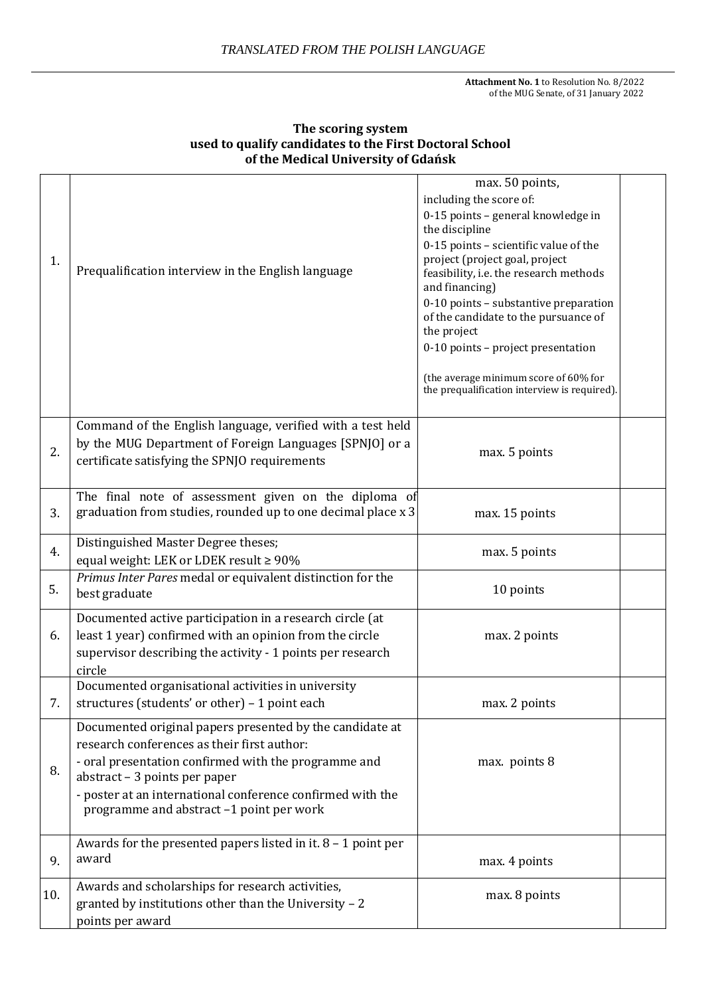**Attachment No. 1** to Resolution No. 8/2022 of the MUG Senate, of 31 January 2022

|     |                                                                                                                                                                                                                                                                                                            | max. 50 points,                                                                                                                     |  |
|-----|------------------------------------------------------------------------------------------------------------------------------------------------------------------------------------------------------------------------------------------------------------------------------------------------------------|-------------------------------------------------------------------------------------------------------------------------------------|--|
|     |                                                                                                                                                                                                                                                                                                            | including the score of:<br>0-15 points - general knowledge in<br>the discipline                                                     |  |
| 1.  | Prequalification interview in the English language                                                                                                                                                                                                                                                         | 0-15 points - scientific value of the<br>project (project goal, project<br>feasibility, i.e. the research methods<br>and financing) |  |
|     |                                                                                                                                                                                                                                                                                                            | 0-10 points - substantive preparation<br>of the candidate to the pursuance of<br>the project<br>0-10 points - project presentation  |  |
|     |                                                                                                                                                                                                                                                                                                            | (the average minimum score of 60% for<br>the prequalification interview is required).                                               |  |
| 2.  | Command of the English language, verified with a test held<br>by the MUG Department of Foreign Languages [SPNJO] or a<br>certificate satisfying the SPNJO requirements                                                                                                                                     | max. 5 points                                                                                                                       |  |
| 3.  | The final note of assessment given on the diploma of<br>graduation from studies, rounded up to one decimal place x 3                                                                                                                                                                                       | max. 15 points                                                                                                                      |  |
| 4.  | Distinguished Master Degree theses;<br>equal weight: LEK or LDEK result ≥ 90%                                                                                                                                                                                                                              | max. 5 points                                                                                                                       |  |
| 5.  | Primus Inter Pares medal or equivalent distinction for the<br>best graduate                                                                                                                                                                                                                                | 10 points                                                                                                                           |  |
| 6.  | Documented active participation in a research circle (at<br>least 1 year) confirmed with an opinion from the circle<br>supervisor describing the activity - 1 points per research<br>circle                                                                                                                | max. 2 points                                                                                                                       |  |
| 7.  | Documented organisational activities in university<br>structures (students' or other) - 1 point each                                                                                                                                                                                                       | max. 2 points                                                                                                                       |  |
| 8.  | Documented original papers presented by the candidate at<br>research conferences as their first author:<br>- oral presentation confirmed with the programme and<br>abstract - 3 points per paper<br>- poster at an international conference confirmed with the<br>programme and abstract -1 point per work | max. points 8                                                                                                                       |  |
| 9.  | Awards for the presented papers listed in it. $8 - 1$ point per<br>award                                                                                                                                                                                                                                   | max. 4 points                                                                                                                       |  |
| 10. | Awards and scholarships for research activities,<br>granted by institutions other than the University - 2<br>points per award                                                                                                                                                                              | max. 8 points                                                                                                                       |  |

## **The scoring system used to qualify candidates to the First Doctoral School of the Medical University of Gdańsk**